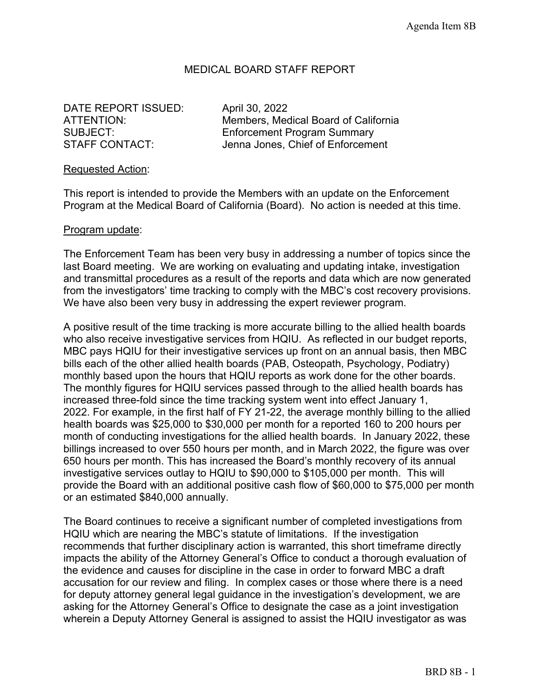### MEDICAL BOARD STAFF REPORT

DATE REPORT ISSUED: April 30, 2022

ATTENTION: Members, Medical Board of California SUBJECT: Enforcement Program Summary STAFF CONTACT: Jenna Jones, Chief of Enforcement

#### Requested Action:

This report is intended to provide the Members with an update on the Enforcement Program at the Medical Board of California (Board). No action is needed at this time.

#### Program update:

The Enforcement Team has been very busy in addressing a number of topics since the last Board meeting. We are working on evaluating and updating intake, investigation and transmittal procedures as a result of the reports and data which are now generated from the investigators' time tracking to comply with the MBC's cost recovery provisions. We have also been very busy in addressing the expert reviewer program.

A positive result of the time tracking is more accurate billing to the allied health boards who also receive investigative services from HQIU. As reflected in our budget reports, MBC pays HQIU for their investigative services up front on an annual basis, then MBC bills each of the other allied health boards (PAB, Osteopath, Psychology, Podiatry) monthly based upon the hours that HQIU reports as work done for the other boards. The monthly figures for HQIU services passed through to the allied health boards has increased three-fold since the time tracking system went into effect January 1, 2022. For example, in the first half of FY 21-22, the average monthly billing to the allied health boards was \$25,000 to \$30,000 per month for a reported 160 to 200 hours per month of conducting investigations for the allied health boards. In January 2022, these billings increased to over 550 hours per month, and in March 2022, the figure was over 650 hours per month. This has increased the Board's monthly recovery of its annual investigative services outlay to HQIU to \$90,000 to \$105,000 per month. This will provide the Board with an additional positive cash flow of \$60,000 to \$75,000 per month or an estimated \$840,000 annually.

The Board continues to receive a significant number of completed investigations from HQIU which are nearing the MBC's statute of limitations. If the investigation recommends that further disciplinary action is warranted, this short timeframe directly impacts the ability of the Attorney General's Office to conduct a thorough evaluation of the evidence and causes for discipline in the case in order to forward MBC a draft accusation for our review and filing. In complex cases or those where there is a need for deputy attorney general legal guidance in the investigation's development, we are asking for the Attorney General's Office to designate the case as a joint investigation wherein a Deputy Attorney General is assigned to assist the HQIU investigator as was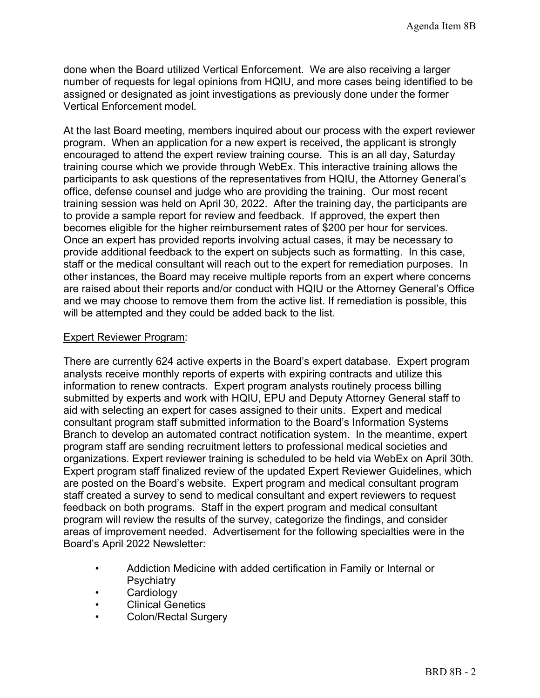done when the Board utilized Vertical Enforcement. We are also receiving a larger number of requests for legal opinions from HQIU, and more cases being identified to be assigned or designated as joint investigations as previously done under the former Vertical Enforcement model.

At the last Board meeting, members inquired about our process with the expert reviewer program. When an application for a new expert is received, the applicant is strongly encouraged to attend the expert review training course. This is an all day, Saturday training course which we provide through WebEx. This interactive training allows the participants to ask questions of the representatives from HQIU, the Attorney General's office, defense counsel and judge who are providing the training. Our most recent training session was held on April 30, 2022. After the training day, the participants are to provide a sample report for review and feedback. If approved, the expert then becomes eligible for the higher reimbursement rates of \$200 per hour for services. Once an expert has provided reports involving actual cases, it may be necessary to provide additional feedback to the expert on subjects such as formatting. In this case, staff or the medical consultant will reach out to the expert for remediation purposes. In other instances, the Board may receive multiple reports from an expert where concerns are raised about their reports and/or conduct with HQIU or the Attorney General's Office and we may choose to remove them from the active list. If remediation is possible, this will be attempted and they could be added back to the list.

#### Expert Reviewer Program:

There are currently 624 active experts in the Board's expert database. Expert program analysts receive monthly reports of experts with expiring contracts and utilize this information to renew contracts. Expert program analysts routinely process billing submitted by experts and work with HQIU, EPU and Deputy Attorney General staff to aid with selecting an expert for cases assigned to their units. Expert and medical consultant program staff submitted information to the Board's Information Systems Branch to develop an automated contract notification system. In the meantime, expert program staff are sending recruitment letters to professional medical societies and organizations. Expert reviewer training is scheduled to be held via WebEx on April 30th. Expert program staff finalized review of the updated Expert Reviewer Guidelines, which are posted on the Board's website. Expert program and medical consultant program staff created a survey to send to medical consultant and expert reviewers to request feedback on both programs. Staff in the expert program and medical consultant program will review the results of the survey, categorize the findings, and consider areas of improvement needed. Advertisement for the following specialties were in the Board's April 2022 Newsletter:

- Addiction Medicine with added certification in Family or Internal or **Psychiatry**
- Cardiology
- Clinical Genetics
- Colon/Rectal Surgery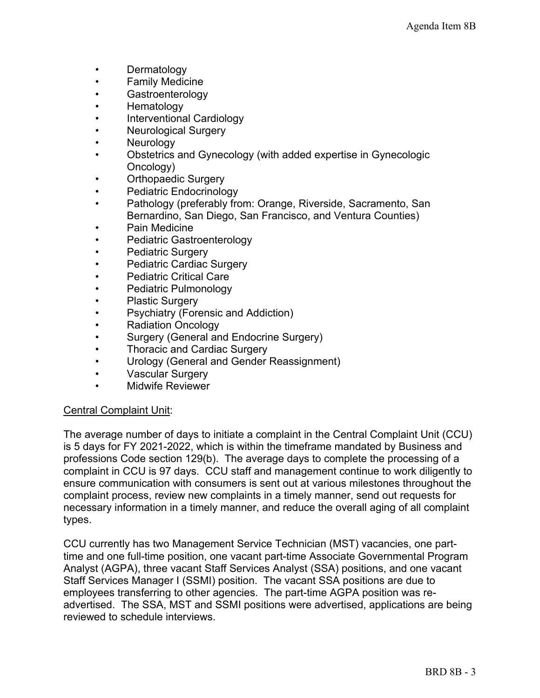- **Dermatology**
- Family Medicine
- Gastroenterology
- Hematology
- Interventional Cardiology
- Neurological Surgery
- **Neurology**
- Obstetrics and Gynecology (with added expertise in Gynecologic Oncology)
- Orthopaedic Surgery
- Pediatric Endocrinology
- Pathology (preferably from: Orange, Riverside, Sacramento, San Bernardino, San Diego, San Francisco, and Ventura Counties)
- Pain Medicine
- Pediatric Gastroenterology
- Pediatric Surgery
- Pediatric Cardiac Surgery
- Pediatric Critical Care
- Pediatric Pulmonology
- Plastic Surgery
- Psychiatry (Forensic and Addiction)
- Radiation Oncology
- Surgery (General and Endocrine Surgery)
- **Thoracic and Cardiac Surgery**
- Urology (General and Gender Reassignment)
- Vascular Surgery
- Midwife Reviewer

## Central Complaint Unit:

The average number of days to initiate a complaint in the Central Complaint Unit (CCU) is 5 days for FY 2021-2022, which is within the timeframe mandated by Business and professions Code section 129(b). The average days to complete the processing of a complaint in CCU is 97 days. CCU staff and management continue to work diligently to ensure communication with consumers is sent out at various milestones throughout the complaint process, review new complaints in a timely manner, send out requests for necessary information in a timely manner, and reduce the overall aging of all complaint types.

CCU currently has two Management Service Technician (MST) vacancies, one parttime and one full-time position, one vacant part-time Associate Governmental Program Analyst (AGPA), three vacant Staff Services Analyst (SSA) positions, and one vacant Staff Services Manager I (SSMI) position. The vacant SSA positions are due to employees transferring to other agencies. The part-time AGPA position was readvertised. The SSA, MST and SSMI positions were advertised, applications are being reviewed to schedule interviews.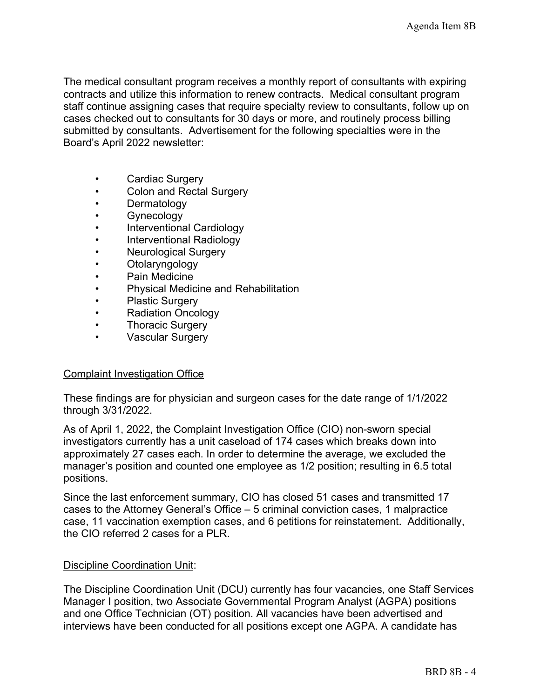The medical consultant program receives a monthly report of consultants with expiring contracts and utilize this information to renew contracts. Medical consultant program staff continue assigning cases that require specialty review to consultants, follow up on cases checked out to consultants for 30 days or more, and routinely process billing submitted by consultants. Advertisement for the following specialties were in the Board's April 2022 newsletter:

- Cardiac Surgery
- Colon and Rectal Surgery
- **Dermatology**
- Gynecology
- Interventional Cardiology
- Interventional Radiology
- Neurological Surgery
- Otolaryngology
- Pain Medicine
- Physical Medicine and Rehabilitation
- Plastic Surgery
- Radiation Oncology
- **Thoracic Surgery**
- Vascular Surgery

#### Complaint Investigation Office

These findings are for physician and surgeon cases for the date range of 1/1/2022 through 3/31/2022.

As of April 1, 2022, the Complaint Investigation Office (CIO) non-sworn special investigators currently has a unit caseload of 174 cases which breaks down into approximately 27 cases each. In order to determine the average, we excluded the manager's position and counted one employee as 1/2 position; resulting in 6.5 total positions.

Since the last enforcement summary, CIO has closed 51 cases and transmitted 17 cases to the Attorney General's Office – 5 criminal conviction cases, 1 malpractice case, 11 vaccination exemption cases, and 6 petitions for reinstatement. Additionally, the CIO referred 2 cases for a PLR.

#### Discipline Coordination Unit:

The Discipline Coordination Unit (DCU) currently has four vacancies, one Staff Services Manager I position, two Associate Governmental Program Analyst (AGPA) positions and one Office Technician (OT) position. All vacancies have been advertised and interviews have been conducted for all positions except one AGPA. A candidate has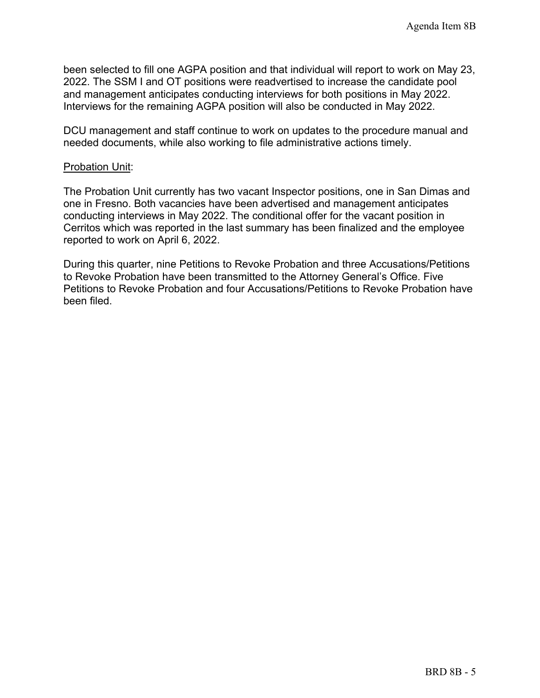been selected to fill one AGPA position and that individual will report to work on May 23, 2022. The SSM I and OT positions were readvertised to increase the candidate pool and management anticipates conducting interviews for both positions in May 2022. Interviews for the remaining AGPA position will also be conducted in May 2022.

DCU management and staff continue to work on updates to the procedure manual and needed documents, while also working to file administrative actions timely.

#### Probation Unit:

The Probation Unit currently has two vacant Inspector positions, one in San Dimas and one in Fresno. Both vacancies have been advertised and management anticipates conducting interviews in May 2022. The conditional offer for the vacant position in Cerritos which was reported in the last summary has been finalized and the employee reported to work on April 6, 2022.

During this quarter, nine Petitions to Revoke Probation and three Accusations/Petitions to Revoke Probation have been transmitted to the Attorney General's Office. Five Petitions to Revoke Probation and four Accusations/Petitions to Revoke Probation have been filed.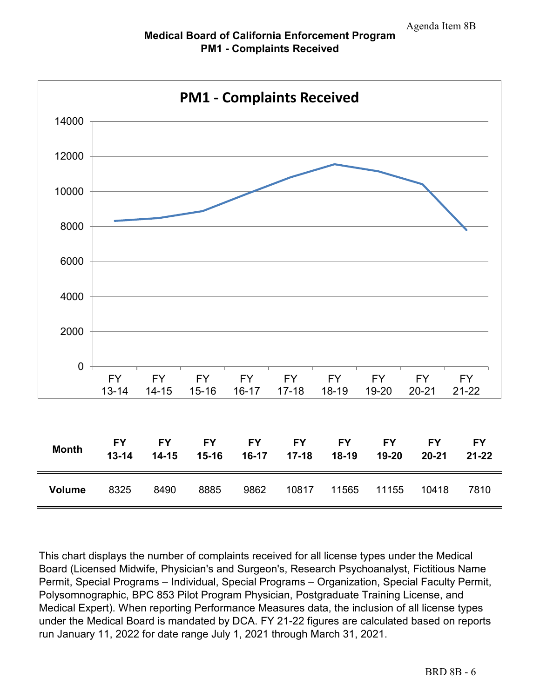

This chart displays the number of complaints received for all license types under the Medical Board (Licensed Midwife, Physician's and Surgeon's, Research Psychoanalyst, Fictitious Name Permit, Special Programs – Individual, Special Programs – Organization, Special Faculty Permit, Polysomnographic, BPC 853 Pilot Program Physician, Postgraduate Training License, and Medical Expert). When reporting Performance Measures data, the inclusion of all license types under the Medical Board is mandated by DCA. FY 21-22 figures are calculated based on reports run January 11, 2022 for date range July 1, 2021 through March 31, 2021.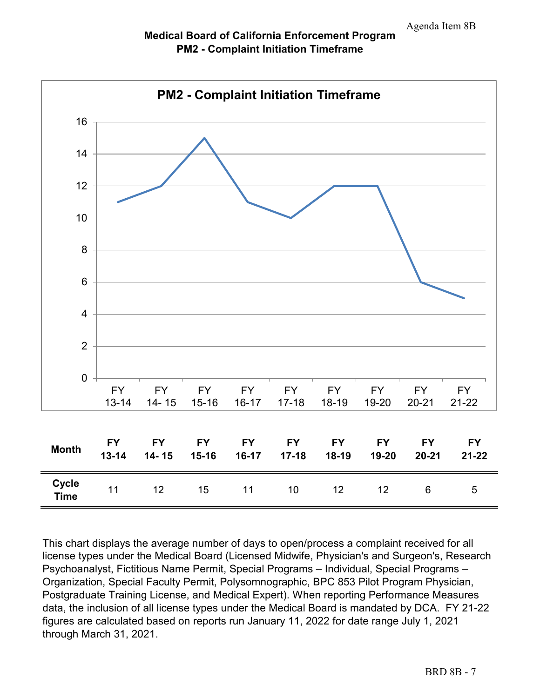



This chart displays the average number of days to open/process a complaint received for all license types under the Medical Board (Licensed Midwife, Physician's and Surgeon's, Research Psychoanalyst, Fictitious Name Permit, Special Programs – Individual, Special Programs – Organization, Special Faculty Permit, Polysomnographic, BPC 853 Pilot Program Physician, Postgraduate Training License, and Medical Expert). When reporting Performance Measures data, the inclusion of all license types under the Medical Board is mandated by DCA. FY 21-22 figures are calculated based on reports run January 11, 2022 for date range July 1, 2021 through March 31, 2021.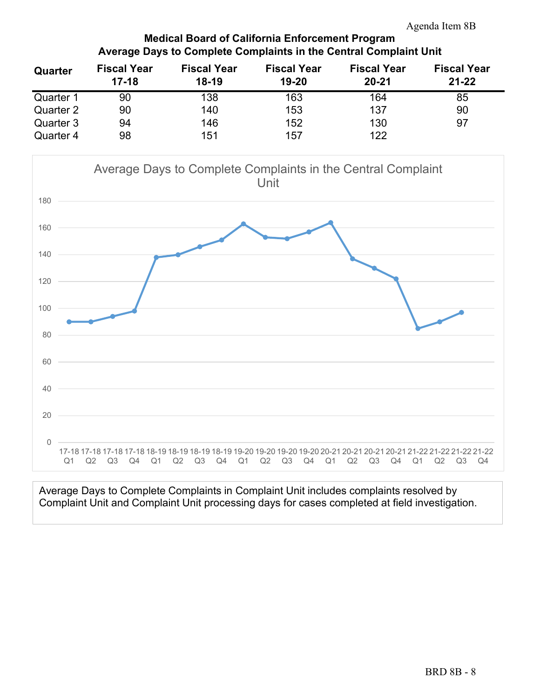## **Medical Board of California Enforcement Program Average Days to Complete Complaints in the Central Complaint Unit**

| Quarter   | <b>Fiscal Year</b> | <b>Fiscal Year</b> | <b>Fiscal Year</b> | <b>Fiscal Year</b> | <b>Fiscal Year</b> |
|-----------|--------------------|--------------------|--------------------|--------------------|--------------------|
|           | $17 - 18$          | $18-19$            | $19 - 20$          | $20 - 21$          | $21 - 22$          |
| Quarter 1 | 90                 | 138                | 163                | 164                | 85                 |
| Quarter 2 | 90                 | 140                | 153                | 137                | 90                 |
| Quarter 3 | 94                 | 146                | 152                | 130                | 97                 |
| Quarter 4 | 98                 | 151                | 157                | 122                |                    |



Average Days to Complete Complaints in Complaint Unit includes complaints resolved by Complaint Unit and Complaint Unit processing days for cases completed at field investigation.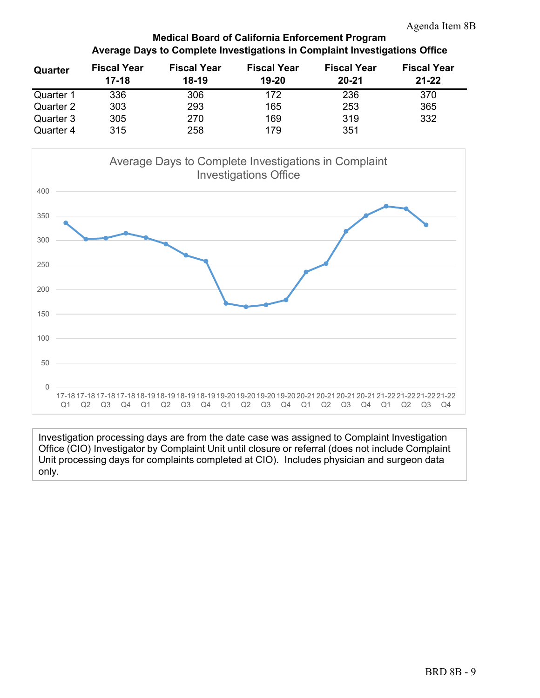## **Medical Board of California Enforcement Program Average Days to Complete Investigations in Complaint Investigations Office**

| Quarter   | <b>Fiscal Year</b> | <b>Fiscal Year</b> | <b>Fiscal Year</b> | <b>Fiscal Year</b> | <b>Fiscal Year</b> |
|-----------|--------------------|--------------------|--------------------|--------------------|--------------------|
|           | $17 - 18$          | $18-19$            | $19-20$            | $20 - 21$          | $21 - 22$          |
| Quarter 1 | 336                | 306                | 172                | 236                | 370                |
| Quarter 2 | 303                | 293                | 165                | 253                | 365                |
| Quarter 3 | 305                | 270                | 169                | 319                | 332                |
| Quarter 4 | 315                | 258                | 179                | 351                |                    |



Investigation processing days are from the date case was assigned to Complaint Investigation Office (CIO) Investigator by Complaint Unit until closure or referral (does not include Complaint Unit processing days for complaints completed at CIO). Includes physician and surgeon data only.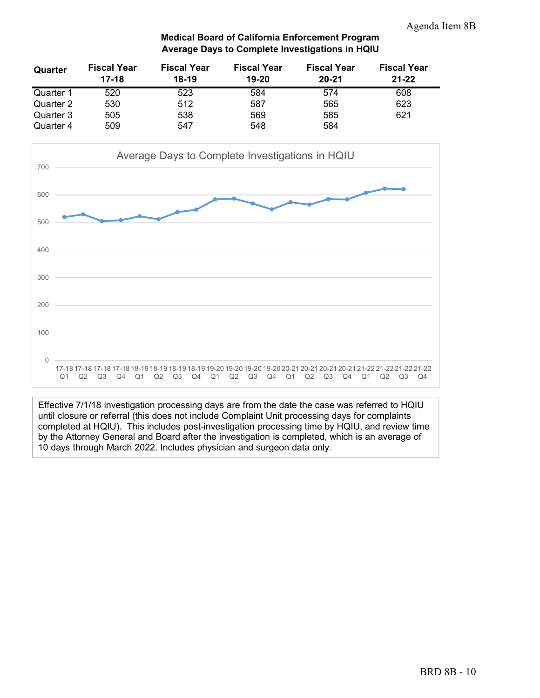#### **Medical Board of California Enforcement Program Average Days to Complete Investigations in HQIU**

| Quarter   | <b>Fiscal Year</b> | <b>Fiscal Year</b> | <b>Fiscal Year</b> | <b>Fiscal Year</b> | <b>Fiscal Year</b> |
|-----------|--------------------|--------------------|--------------------|--------------------|--------------------|
|           | $17-18$            | $18-19$            | 19-20              | $20 - 21$          | $21 - 22$          |
| Quarter 1 | 520                | 523                | 584                | 574                | 608                |
| Quarter 2 | 530                | 512                | 587                | 565                | 623                |
| Quarter 3 | 505                | 538                | 569                | 585                | 621                |
| Quarter 4 | 509                | 547                | 548                | 584                |                    |



Effective 7/1/18 investigation processing days are from the date the case was referred to HQIU until closure or referral (this does not include Complaint Unit processing days for complaints completed at HQIU). This includes post-investigation processing time by HQIU, and review time by the Attorney General and Board after the investigation is completed, which is an average of 10 days through March 2022. Includes physician and surgeon data only.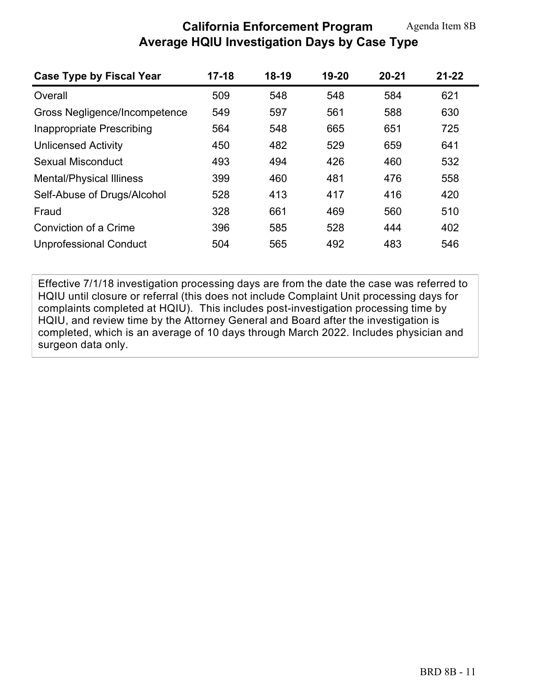# **California Enforcement Program Average HQIU Investigation Days by Case Type**

| Case Type by Fiscal Year        | $17 - 18$ | $18-19$ | 19-20 | $20 - 21$ | $21 - 22$ |
|---------------------------------|-----------|---------|-------|-----------|-----------|
| Overall                         | 509       | 548     | 548   | 584       | 621       |
| Gross Negligence/Incompetence   | 549       | 597     | 561   | 588       | 630       |
| Inappropriate Prescribing       | 564       | 548     | 665   | 651       | 725       |
| <b>Unlicensed Activity</b>      | 450       | 482     | 529   | 659       | 641       |
| Sexual Misconduct               | 493       | 494     | 426   | 460       | 532       |
| <b>Mental/Physical Illiness</b> | 399       | 460     | 481   | 476       | 558       |
| Self-Abuse of Drugs/Alcohol     | 528       | 413     | 417   | 416       | 420       |
| Fraud                           | 328       | 661     | 469   | 560       | 510       |
| Conviction of a Crime           | 396       | 585     | 528   | 444       | 402       |
| <b>Unprofessional Conduct</b>   | 504       | 565     | 492   | 483       | 546       |

Effective 7/1/18 investigation processing days are from the date the case was referred to HQIU until closure or referral (this does not include Complaint Unit processing days for complaints completed at HQIU). This includes post-investigation processing time by HQIU, and review time by the Attorney General and Board after the investigation is completed, which is an average of 10 days through March 2022. Includes physician and surgeon data only.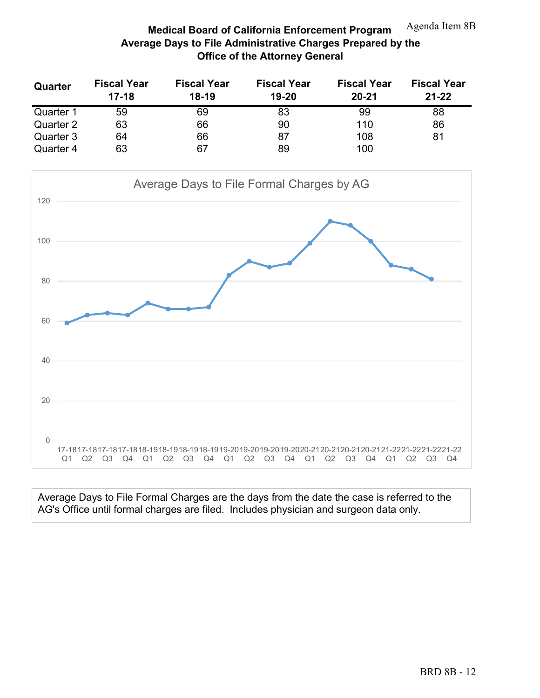#### **Medical Board of California Enforcement Program Average Days to File Administrative Charges Prepared by the Office of the Attorney General** Agenda Item 8B

| Quarter   | <b>Fiscal Year</b><br>$17-18$ | <b>Fiscal Year</b><br>18-19 | <b>Fiscal Year</b><br>19-20 | <b>Fiscal Year</b><br>$20 - 21$ | <b>Fiscal Year</b><br>$21 - 22$ |
|-----------|-------------------------------|-----------------------------|-----------------------------|---------------------------------|---------------------------------|
| Quarter 1 | 59                            | 69                          | 83                          | 99                              | 88                              |
| Quarter 2 | 63                            | 66                          | 90                          | 110                             | 86                              |
| Quarter 3 | 64                            | 66                          | 87                          | 108                             | 81                              |
| Quarter 4 | 63                            | 67                          | 89                          | 100                             |                                 |



Average Days to File Formal Charges are the days from the date the case is referred to the AG's Office until formal charges are filed. Includes physician and surgeon data only.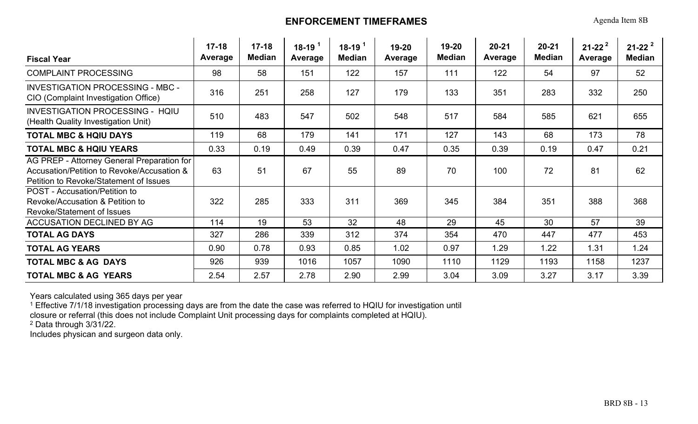# **ENFORCEMENT TIMEFRAMES**

Agenda Item 8B

| <b>Fiscal Year</b>                                                                                                                 | $17 - 18$<br>Average | $17 - 18$<br><b>Median</b> | $18-19$ <sup>1</sup><br>Average | $18-19^{1}$<br><b>Median</b> | 19-20<br>Average | 19-20<br><b>Median</b> | $20 - 21$<br>Average | $20 - 21$<br><b>Median</b> | $21 - 22^{2}$<br>Average | $21 - 22^{2}$<br><b>Median</b> |
|------------------------------------------------------------------------------------------------------------------------------------|----------------------|----------------------------|---------------------------------|------------------------------|------------------|------------------------|----------------------|----------------------------|--------------------------|--------------------------------|
| <b>COMPLAINT PROCESSING</b>                                                                                                        | 98                   | 58                         | 151                             | 122                          | 157              | 111                    | 122                  | 54                         | 97                       | 52                             |
| <b>INVESTIGATION PROCESSING - MBC -</b><br>CIO (Complaint Investigation Office)                                                    | 316                  | 251                        | 258                             | 127                          | 179              | 133                    | 351                  | 283                        | 332                      | 250                            |
| <b>INVESTIGATION PROCESSING - HQIU</b><br>(Health Quality Investigation Unit)                                                      | 510                  | 483                        | 547                             | 502                          | 548              | 517                    | 584                  | 585                        | 621                      | 655                            |
| <b>TOTAL MBC &amp; HQIU DAYS</b>                                                                                                   | 119                  | 68                         | 179                             | 141                          | 171              | 127                    | 143                  | 68                         | 173                      | 78                             |
| <b>TOTAL MBC &amp; HQIU YEARS</b>                                                                                                  | 0.33                 | 0.19                       | 0.49                            | 0.39                         | 0.47             | 0.35                   | 0.39                 | 0.19                       | 0.47                     | 0.21                           |
| AG PREP - Attorney General Preparation for<br>Accusation/Petition to Revoke/Accusation &<br>Petition to Revoke/Statement of Issues | 63                   | 51                         | 67                              | 55                           | 89               | 70                     | 100                  | 72                         | 81                       | 62                             |
| POST - Accusation/Petition to<br>Revoke/Accusation & Petition to<br><b>Revoke/Statement of Issues</b>                              | 322                  | 285                        | 333                             | 311                          | 369              | 345                    | 384                  | 351                        | 388                      | 368                            |
| <b>ACCUSATION DECLINED BY AG</b>                                                                                                   | 114                  | 19                         | 53                              | 32                           | 48               | 29                     | 45                   | 30                         | 57                       | 39                             |
| <b>TOTAL AG DAYS</b>                                                                                                               | 327                  | 286                        | 339                             | 312                          | 374              | 354                    | 470                  | 447                        | 477                      | 453                            |
| <b>TOTAL AG YEARS</b>                                                                                                              | 0.90                 | 0.78                       | 0.93                            | 0.85                         | 1.02             | 0.97                   | 1.29                 | 1.22                       | 1.31                     | 1.24                           |
| <b>TOTAL MBC &amp; AG DAYS</b>                                                                                                     | 926                  | 939                        | 1016                            | 1057                         | 1090             | 1110                   | 1129                 | 1193                       | 1158                     | 1237                           |
| <b>TOTAL MBC &amp; AG YEARS</b>                                                                                                    | 2.54                 | 2.57                       | 2.78                            | 2.90                         | 2.99             | 3.04                   | 3.09                 | 3.27                       | 3.17                     | 3.39                           |

Years calculated using 365 days per year 1 Effective 7/1/18 investigation processing days are from the date the case was referred to HQIU for investigation until

closure or referral (this does not include Complaint Unit processing days for complaints completed at HQIU).

2 Data through 3/31/22.

Includes physican and surgeon data only.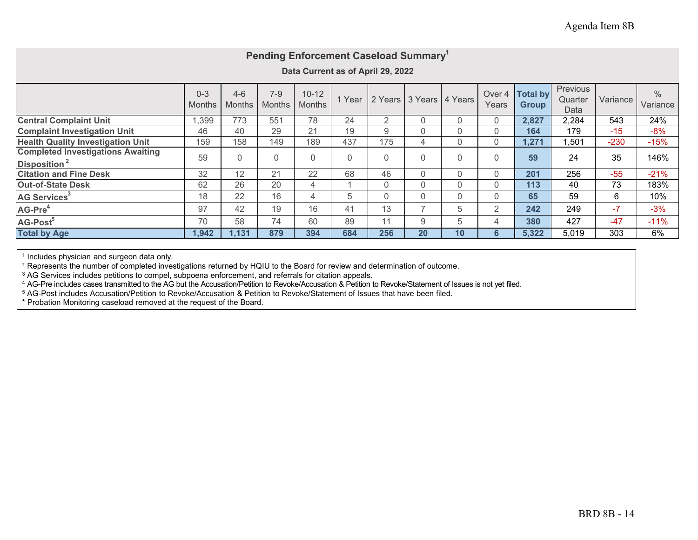| Pending Enforcement Caseload Summary <sup>1</sup>                    |                          |                          |                          |                            |      |                |                         |    |                            |                                 |                             |          |                  |
|----------------------------------------------------------------------|--------------------------|--------------------------|--------------------------|----------------------------|------|----------------|-------------------------|----|----------------------------|---------------------------------|-----------------------------|----------|------------------|
| Data Current as of April 29, 2022                                    |                          |                          |                          |                            |      |                |                         |    |                            |                                 |                             |          |                  |
|                                                                      | $0 - 3$<br><b>Months</b> | $4 - 6$<br><b>Months</b> | $7 - 9$<br><b>Months</b> | $10 - 12$<br><b>Months</b> | Year |                | 2 Years 3 Years 4 Years |    | Over <sub>4</sub><br>Years | <b>Total by</b><br><b>Group</b> | Previous<br>Quarter<br>Data | Variance | $\%$<br>Variance |
| <b>Central Complaint Unit</b>                                        | 1,399                    | 773                      | 551                      | 78                         | 24   | $\overline{2}$ | $\mathbf{0}$            | 0  | 0                          | 2,827                           | 2,284                       | 543      | 24%              |
| <b>Complaint Investigation Unit</b>                                  | 46                       | 40                       | 29                       | 21                         | 19   | 9              | $\mathbf{0}$            | 0  | 0                          | 164                             | 179                         | $-15$    | $-8%$            |
| <b>Health Quality Investigation Unit</b>                             | 159                      | 158                      | 149                      | 189                        | 437  | 175            | 4                       | 0  | 0                          | 1,271                           | 1,501                       | $-230$   | $-15%$           |
| <b>Completed Investigations Awaiting</b><br>Disposition <sup>2</sup> | 59                       | $\overline{0}$           | $\Omega$                 | $\Omega$                   | 0    | $\mathbf{0}$   | $\Omega$                | 0  | 0                          | 59                              | 24                          | 35       | 146%             |
| <b>Citation and Fine Desk</b>                                        | 32                       | 12                       | 21                       | 22                         | 68   | 46             | $\mathbf{0}$            | 0  | 0                          | 201                             | 256                         | $-55$    | $-21%$           |
| <b>Out-of-State Desk</b>                                             | 62                       | 26                       | 20                       | 4                          |      | $\Omega$       | $\mathbf{0}$            | 0  | 0                          | 113                             | 40                          | 73       | 183%             |
| AG Services <sup>3</sup>                                             | 18                       | 22                       | 16                       | 4                          | 5    | $\Omega$       | $\mathbf{0}$            | 0  | 0                          | 65                              | 59                          | 6        | 10%              |
| AG-Pre <sup>4</sup>                                                  | 97                       | 42                       | 19                       | 16                         | 41   | 13             | ⇁                       | 5  | 2                          | 242                             | 249                         | $-7$     | $-3%$            |
| AG-Post <sup>5</sup>                                                 | 70                       | 58                       | 74                       | 60                         | 89   | 11             | 9                       | 5  | 4                          | 380                             | 427                         | $-47$    | $-11%$           |
| <b>Total by Age</b>                                                  | 1,942                    | 1,131                    | 879                      | 394                        | 684  | 256            | 20                      | 10 | 6                          | 5,322                           | 5,019                       | 303      | 6%               |

<sup>1</sup> Includes physician and surgeon data only.<br><sup>2</sup> Represents the number of completed investigations returned by HQIU to the Board for review and determination of outcome.

<sup>3</sup> AG Services includes petitions to compel, subpoena enforcement, and referrals for citation appeals.<br><sup>4</sup> AG-Pre includes cases transmitted to the AG but the Accusation/Petition to Revoke/Accusation & Petition to Revoke/

5 AG-Post includes Accusation/Petition to Revoke/Accusation & Petition to Revoke/Statement of Issues that have been filed.

\* Probation Monitoring caseload removed at the request of the Board.